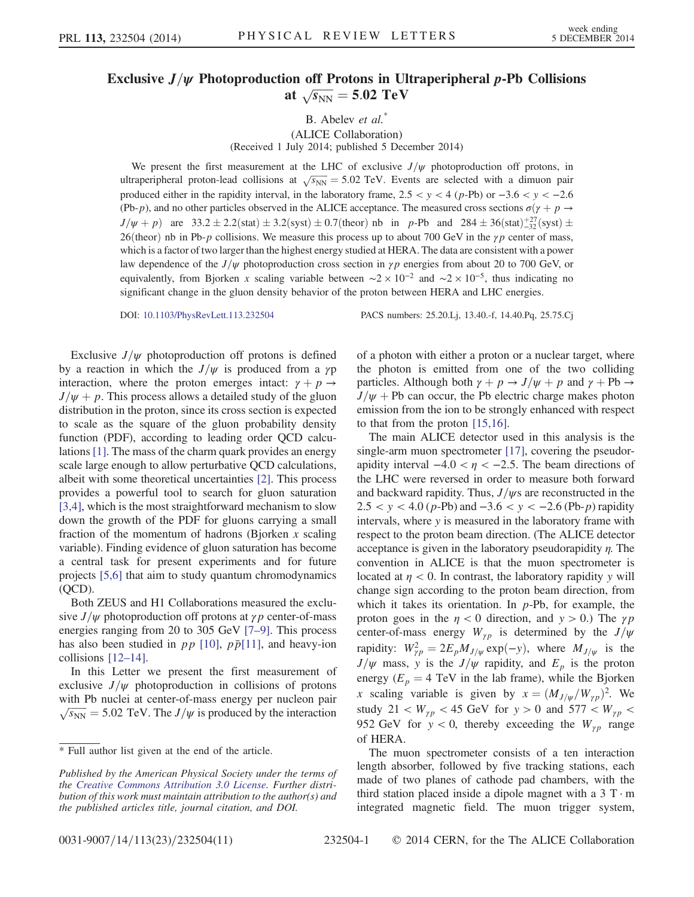## Exclusive  $J/\psi$  Photoproduction off Protons in Ultraperipheral p-Pb Collisions on off Protons in Ular<br>at  $\sqrt{s_{\rm NN}} = 5.02 \text{ TeV}$

## B. Abelev et al.<sup>\*</sup> (ALICE Collaboration) (Received 1 July 2014; published 5 December 2014)

We present the first measurement at the LHC of exclusive  $J/\psi$  photoproduction off protons, in we present the first measurement at the EHC of exclusive  $J/\psi$  photoproduction on protons, in ultraperipheral proton-lead collisions at  $\sqrt{s_{NN}}$  = 5.02 TeV. Events are selected with a dimuon pair produced either in the rapidity interval, in the laboratory frame,  $2.5 < y < 4$  (p-Pb) or  $-3.6 < y < -2.6$ (Pb-p), and no other particles observed in the ALICE acceptance. The measured cross sections  $\sigma(\gamma + p \rightarrow$  $J/\psi + p$  are  $33.2 \pm 2.2$ (stat)  $\pm 3.2$ (syst)  $\pm 0.7$ (theor) nb in p-Pb and  $284 \pm 36$ (stat) $\frac{+27}{-32}$ (syst)  $\pm$ 26(theor) nb in Pb-p collisions. We measure this process up to about 700 GeV in the  $\gamma p$  center of mass, which is a factor of two larger than the highest energy studied at HERA. The data are consistent with a power law dependence of the  $J/\psi$  photoproduction cross section in  $\gamma p$  energies from about 20 to 700 GeV, or equivalently, from Bjorken x scaling variable between  $\sim$ 2 × 10<sup>-2</sup> and  $\sim$ 2 × 10<sup>-5</sup>, thus indicating no significant change in the gluon density behavior of the proton between HERA and LHC energies.

DOI: [10.1103/PhysRevLett.113.232504](http://dx.doi.org/10.1103/PhysRevLett.113.232504) PACS numbers: 25.20.Lj, 13.40.-f, 14.40.Pq, 25.75.Cj

Exclusive  $J/\psi$  photoproduction off protons is defined by a reaction in which the  $J/\psi$  is produced from a  $\gamma$ p interaction, where the proton emerges intact:  $\gamma + p \rightarrow$  $J/\psi + p$ . This process allows a detailed study of the gluon distribution in the proton, since its cross section is expected to scale as the square of the gluon probability density function (PDF), according to leading order QCD calculations [\[1\].](#page-4-0) The mass of the charm quark provides an energy scale large enough to allow perturbative QCD calculations, albeit with some theoretical uncertainties [\[2\].](#page-4-1) This process provides a powerful tool to search for gluon saturation [\[3,4\],](#page-4-2) which is the most straightforward mechanism to slow down the growth of the PDF for gluons carrying a small fraction of the momentum of hadrons (Bjorken  $x$  scaling variable). Finding evidence of gluon saturation has become a central task for present experiments and for future projects [\[5,6\]](#page-4-3) that aim to study quantum chromodynamics (QCD).

Both ZEUS and H1 Collaborations measured the exclusive  $J/\psi$  photoproduction off protons at  $\gamma p$  center-of-mass energies ranging from 20 to 305 GeV [7–[9\]](#page-5-0). This process has also been studied in  $pp$  [\[10\]](#page-5-1),  $p\bar{p}$ [\[11\]](#page-5-2), and heavy-ion collisions [\[12](#page-5-3)–14].

In this Letter we present the first measurement of exclusive  $J/\psi$  photoproduction in collisions of protons with Pb nuclei at center-of-mass energy per nucleon pair  $\sqrt{s_{NN}}$  = 5.02 TeV. The  $J/\psi$  is produced by the interaction of a photon with either a proton or a nuclear target, where the photon is emitted from one of the two colliding particles. Although both  $\gamma + p \rightarrow J/\psi + p$  and  $\gamma + Pb \rightarrow$  $J/\psi$  + Pb can occur, the Pb electric charge makes photon emission from the ion to be strongly enhanced with respect to that from the proton [\[15,16\]](#page-5-4).

The main ALICE detector used in this analysis is the single-arm muon spectrometer [\[17\]](#page-5-5), covering the pseudorapidity interval  $-4.0 < \eta < -2.5$ . The beam directions of the LHC were reversed in order to measure both forward and backward rapidity. Thus,  $J/\psi s$  are reconstructed in the  $2.5 < y < 4.0$  (p-Pb) and  $-3.6 < y < -2.6$  (Pb-p) rapidity intervals, where y is measured in the laboratory frame with respect to the proton beam direction. (The ALICE detector acceptance is given in the laboratory pseudorapidity  $\eta$ . The convention in ALICE is that the muon spectrometer is located at  $\eta$  < 0. In contrast, the laboratory rapidity y will change sign according to the proton beam direction, from which it takes its orientation. In  $p-Pb$ , for example, the proton goes in the  $\eta$  < 0 direction, and  $y > 0$ .) The  $\gamma p$ center-of-mass energy  $W_{\gamma p}$  is determined by the  $J/\psi$ rapidity:  $W_{\gamma p}^2 = 2E_p M_{J/\psi} \exp(-y)$ , where  $M_{J/\psi}$  is the  $J/\psi$  mass, y is the  $J/\psi$  rapidity, and  $E_p$  is the proton energy ( $E_p = 4$  TeV in the lab frame), while the Bjorken x scaling variable is given by  $x = (M_{J/\psi}/W_{\gamma p})^2$ . We study 21 <  $W_{\gamma p}$  < 45 GeV for y > 0 and 577 <  $W_{\gamma p}$  < 952 GeV for  $y < 0$ , thereby exceeding the  $W_{\gamma p}$  range of HERA.

The muon spectrometer consists of a ten interaction length absorber, followed by five tracking stations, each made of two planes of cathode pad chambers, with the third station placed inside a dipole magnet with a  $3 T \cdot m$ integrated magnetic field. The muon trigger system,

<sup>\*</sup> Full author list given at the end of the article.

Published by the American Physical Society under the terms of the [Creative Commons Attribution 3.0 License.](http://creativecommons.org/licenses/by/3.0/) Further distribution of this work must maintain attribution to the author(s) and the published articles title, journal citation, and DOI.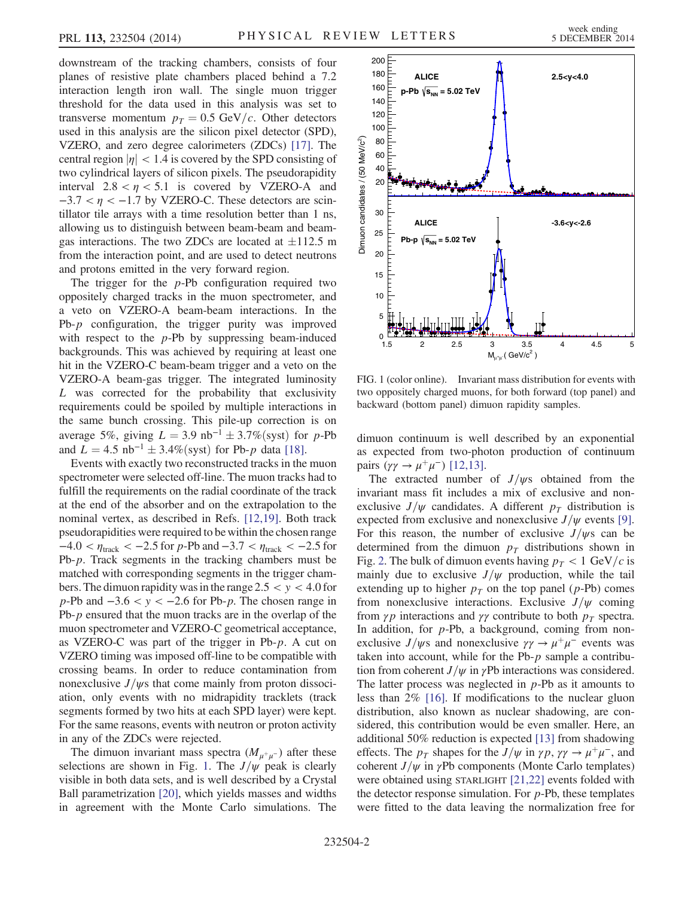downstream of the tracking chambers, consists of four planes of resistive plate chambers placed behind a 7.2 interaction length iron wall. The single muon trigger threshold for the data used in this analysis was set to transverse momentum  $p_T = 0.5 \text{ GeV}/c$ . Other detectors used in this analysis are the silicon pixel detector (SPD), VZERO, and zero degree calorimeters (ZDCs) [\[17\]](#page-5-5). The central region  $|\eta|$  < 1.4 is covered by the SPD consisting of two cylindrical layers of silicon pixels. The pseudorapidity interval  $2.8 < \eta < 5.1$  is covered by VZERO-A and  $-3.7 < \eta < -1.7$  by VZERO-C. These detectors are scintillator tile arrays with a time resolution better than 1 ns, allowing us to distinguish between beam-beam and beamgas interactions. The two ZDCs are located at  $\pm 112.5$  m from the interaction point, and are used to detect neutrons and protons emitted in the very forward region.

The trigger for the  $p$ -Pb configuration required two oppositely charged tracks in the muon spectrometer, and a veto on VZERO-A beam-beam interactions. In the Pb- $p$  configuration, the trigger purity was improved with respect to the  $p-Pb$  by suppressing beam-induced backgrounds. This was achieved by requiring at least one hit in the VZERO-C beam-beam trigger and a veto on the VZERO-A beam-gas trigger. The integrated luminosity L was corrected for the probability that exclusivity requirements could be spoiled by multiple interactions in the same bunch crossing. This pile-up correction is on average 5%, giving  $L = 3.9 \text{ nb}^{-1} \pm 3.7\% \text{(syst)}$  for p-Pb and  $L = 4.5 \text{ nb}^{-1} \pm 3.4\% \text{(syst)}$  for Pb-*p* data [\[18\]](#page-5-6).

Events with exactly two reconstructed tracks in the muon spectrometer were selected off-line. The muon tracks had to fulfill the requirements on the radial coordinate of the track at the end of the absorber and on the extrapolation to the nominal vertex, as described in Refs. [\[12,19\].](#page-5-3) Both track pseudorapidities were required to be within the chosen range  $-4.0 < \eta_{\text{track}} < -2.5$  for p-Pb and  $-3.7 < \eta_{\text{track}} < -2.5$  for Pb- $p$ . Track segments in the tracking chambers must be matched with corresponding segments in the trigger chambers. The dimuon rapidity was in the range  $2.5 < y < 4.0$  for p-Pb and  $-3.6 < y < -2.6$  for Pb-p. The chosen range in Pb- $p$  ensured that the muon tracks are in the overlap of the muon spectrometer and VZERO-C geometrical acceptance, as VZERO-C was part of the trigger in Pb-p. A cut on VZERO timing was imposed off-line to be compatible with crossing beams. In order to reduce contamination from nonexclusive  $J/\psi s$  that come mainly from proton dissociation, only events with no midrapidity tracklets (track segments formed by two hits at each SPD layer) were kept. For the same reasons, events with neutron or proton activity in any of the ZDCs were rejected.

The dimuon invariant mass spectra ( $M_{\mu^+\mu^-}$ ) after these selections are shown in Fig. [1](#page-1-0). The  $J/\psi$  peak is clearly visible in both data sets, and is well described by a Crystal Ball parametrization [\[20\]](#page-5-7), which yields masses and widths in agreement with the Monte Carlo simulations. The

<span id="page-1-0"></span>

FIG. 1 (color online). Invariant mass distribution for events with two oppositely charged muons, for both forward (top panel) and backward (bottom panel) dimuon rapidity samples.

dimuon continuum is well described by an exponential as expected from two-photon production of continuum pairs ( $\gamma \gamma \to \mu^+ \mu^-$ ) [\[12,13\].](#page-5-3)

The extracted number of  $J/\psi s$  obtained from the invariant mass fit includes a mix of exclusive and nonexclusive  $J/\psi$  candidates. A different  $p_T$  distribution is expected from exclusive and nonexclusive  $J/\psi$  events [\[9\]](#page-5-8). For this reason, the number of exclusive  $J/\psi s$  can be determined from the dimuon  $p_T$  distributions shown in Fig. [2.](#page-2-0) The bulk of dimuon events having  $p<sub>T</sub> < 1$  GeV/c is mainly due to exclusive  $J/\psi$  production, while the tail extending up to higher  $p<sub>T</sub>$  on the top panel (p-Pb) comes from nonexclusive interactions. Exclusive  $J/\psi$  coming from  $\gamma p$  interactions and  $\gamma \gamma$  contribute to both  $p_T$  spectra. In addition, for  $p$ -Pb, a background, coming from nonexclusive  $J/\psi s$  and nonexclusive  $\gamma\gamma \rightarrow \mu^+\mu^-$  events was taken into account, while for the Pb- $p$  sample a contribution from coherent  $J/\psi$  in  $\gamma$ Pb interactions was considered. The latter process was neglected in  $p$ -Pb as it amounts to less than 2% [\[16\].](#page-5-9) If modifications to the nuclear gluon distribution, also known as nuclear shadowing, are considered, this contribution would be even smaller. Here, an additional 50% reduction is expected [\[13\]](#page-5-10) from shadowing effects. The  $p_T$  shapes for the  $J/\psi$  in  $\gamma p$ ,  $\gamma \gamma \rightarrow \mu^+ \mu^-$ , and coherent  $J/\psi$  in  $\gamma$ Pb components (Monte Carlo templates) were obtained using STARLIGHT [\[21,22\]](#page-5-11) events folded with the detector response simulation. For  $p$ -Pb, these templates were fitted to the data leaving the normalization free for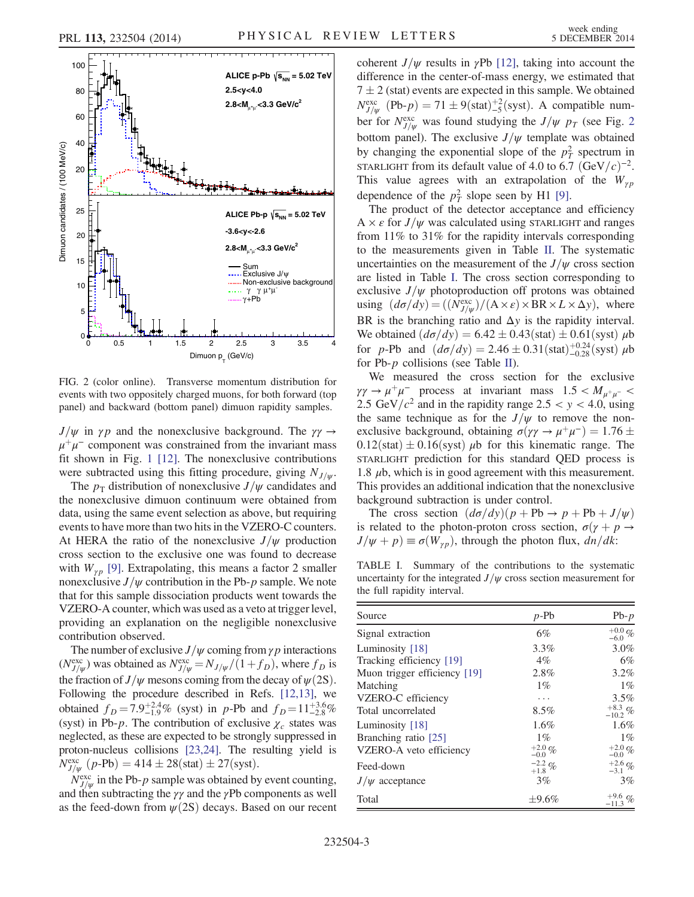<span id="page-2-0"></span>

FIG. 2 (color online). Transverse momentum distribution for events with two oppositely charged muons, for both forward (top panel) and backward (bottom panel) dimuon rapidity samples.

 $J/\psi$  in  $\gamma p$  and the nonexclusive background. The  $\gamma \gamma \rightarrow$  $\mu^+ \mu^-$  component was constrained from the invariant mass fit shown in Fig. [1](#page-1-0) [\[12\]](#page-5-3). The nonexclusive contributions were subtracted using this fitting procedure, giving  $N_{J/\psi}$ .

The  $p_T$  distribution of nonexclusive  $J/\psi$  candidates and the nonexclusive dimuon continuum were obtained from data, using the same event selection as above, but requiring events to have more than two hits in the VZERO-C counters. At HERA the ratio of the nonexclusive  $J/\psi$  production cross section to the exclusive one was found to decrease with  $W_{\gamma p}$  [\[9\].](#page-5-8) Extrapolating, this means a factor 2 smaller nonexclusive  $J/\psi$  contribution in the Pb-p sample. We note that for this sample dissociation products went towards the VZERO-A counter, which was used as a veto at trigger level, providing an explanation on the negligible nonexclusive contribution observed.

The number of exclusive  $J/\psi$  coming from  $\gamma p$  interactions  $(N_{J/\psi}^{\text{exc}})$  was obtained as  $N_{J/\psi}^{\text{exc}} = N_{J/\psi}/(1+f_D)$ , where  $f_D$  is the fraction of  $J/\psi$  mesons coming from the decay of  $\psi(2S)$ . Following the procedure described in Refs. [\[12,13\],](#page-5-3) we obtained  $f_D = 7.9^{+2.4}_{-1.9}\%$  (syst) in p-Pb and  $f_D = 11^{+3.6}_{-2.8}\%$ (syst) in Pb-p. The contribution of exclusive  $\chi_c$  states was neglected, as these are expected to be strongly suppressed in proton-nucleus collisions [\[23,24\].](#page-5-12) The resulting yield is  $N_{J/\psi}^{\text{exc}}$  (*p*-Pb) = 414  $\pm$  28(stat)  $\pm$  27(syst).

 $N_{J/\psi}^{\text{exc}}$  in the Pb-p sample was obtained by event counting, and then subtracting the  $\gamma\gamma$  and the  $\gamma$ Pb components as well as the feed-down from  $\psi(2S)$  decays. Based on our recent coherent  $J/\psi$  results in γPb [\[12\]](#page-5-3), taking into account the difference in the center-of-mass energy, we estimated that  $7 \pm 2$  (stat) events are expected in this sample. We obtained  $N_{J/\psi}^{\text{exc}}$  (Pb- $p$ ) = 71  $\pm$  9(stat) $^{+2}_{-5}$ (syst). A compatible number for  $N_{J/\psi}^{\text{exc}}$  was found studying the  $J/\psi p_T$  (see Fig. [2](#page-2-0)) bottom panel). The exclusive  $J/\psi$  template was obtained by changing the exponential slope of the  $p_T^2$  spectrum in STARLIGHT from its default value of 4.0 to 6.7  $\left(\frac{GeV}{c}\right)^{-2}$ . This value agrees with an extrapolation of the  $W_{\gamma p}$ dependence of the  $p_T^2$  slope seen by H1 [\[9\]](#page-5-8).

The product of the detector acceptance and efficiency  $A \times \varepsilon$  for  $J/\psi$  was calculated using STARLIGHT and ranges from 11% to 31% for the rapidity intervals corresponding to the measurements given in Table [II](#page-3-0). The systematic uncertainties on the measurement of the  $J/\psi$  cross section are listed in Table [I](#page-2-1). The cross section corresponding to exclusive  $J/\psi$  photoproduction off protons was obtained using  $(d\sigma/dy) = ((N_{J/\psi}^{exc})/(A \times \varepsilon) \times BR \times L \times \Delta y)$ , where BR is the branching ratio and  $\Delta y$  is the rapidity interval. We obtained  $(d\sigma/dy) = 6.42 \pm 0.43$ (stat)  $\pm 0.61$ (syst)  $\mu$ b for p-Pb and  $(d\sigma/dy) = 2.46 \pm 0.31$ (stat) $^{+0.24}_{-0.28}$ (syst)  $\mu$ b for Pb- $p$  collisions (see Table [II](#page-3-0)).

We measured the cross section for the exclusive  $\gamma \gamma \rightarrow \mu^+ \mu^-$  process at invariant mass  $1.5 < M_{\mu^+ \mu^-} <$ 2.5 GeV/ $c^2$  and in the rapidity range 2.5 < y < 4.0, using the same technique as for the  $J/\psi$  to remove the nonexclusive background, obtaining  $\sigma(\gamma \gamma \rightarrow \mu^+ \mu^-) = 1.76 \pm 0.176$  $0.12$ (stat)  $\pm 0.16$ (syst)  $\mu$ b for this kinematic range. The STARLIGHT prediction for this standard QED process is 1.8  $\mu$ b, which is in good agreement with this measurement. This provides an additional indication that the nonexclusive background subtraction is under control.

The cross section  $(d\sigma/dy)(p + Pb \rightarrow p + Pb + J/\psi)$ is related to the photon-proton cross section,  $\sigma(\gamma + p \rightarrow$  $J/\psi + p \equiv \sigma(W_{\gamma p})$ , through the photon flux,  $dn/dk$ :

<span id="page-2-1"></span>TABLE I. Summary of the contributions to the systematic uncertainty for the integrated  $J/\psi$  cross section measurement for the full rapidity interval.

| Source                       | $p-Pb$             | $Pb-p$               |
|------------------------------|--------------------|----------------------|
| Signal extraction            | 6%                 | $^{+0.0}_{-6.0}\,\%$ |
| Luminosity [18]              | 3.3%               | $3.0\%$              |
| Tracking efficiency [19]     | 4%                 | $6\%$                |
| Muon trigger efficiency [19] | 2.8%               | 3.2%                 |
| Matching                     | $1\%$              | $1\%$                |
| VZERO-C efficiency           | .                  | $3.5\%$              |
| Total uncorrelated           | $8.5\%$            | $^{+8.3}_{-10.2}$ %  |
| Luminosity [18]              | 1.6%               | $1.6\%$              |
| Branching ratio [25]         | $1\%$              | $1\%$                |
| VZERO-A veto efficiency      | $^{+2.0}_{-0.0}$ % | $^{+2.0}_{-0.0}$ %   |
| Feed-down                    | $_{+1.8}^{-2.2}$ % | $^{+2.6}_{-3.1}$ %   |
| $J/\psi$ acceptance          | $3\%$              | $3\%$                |
| Total                        | $\pm 9.6\%$        | $+9.6$ %<br>$-11.3$  |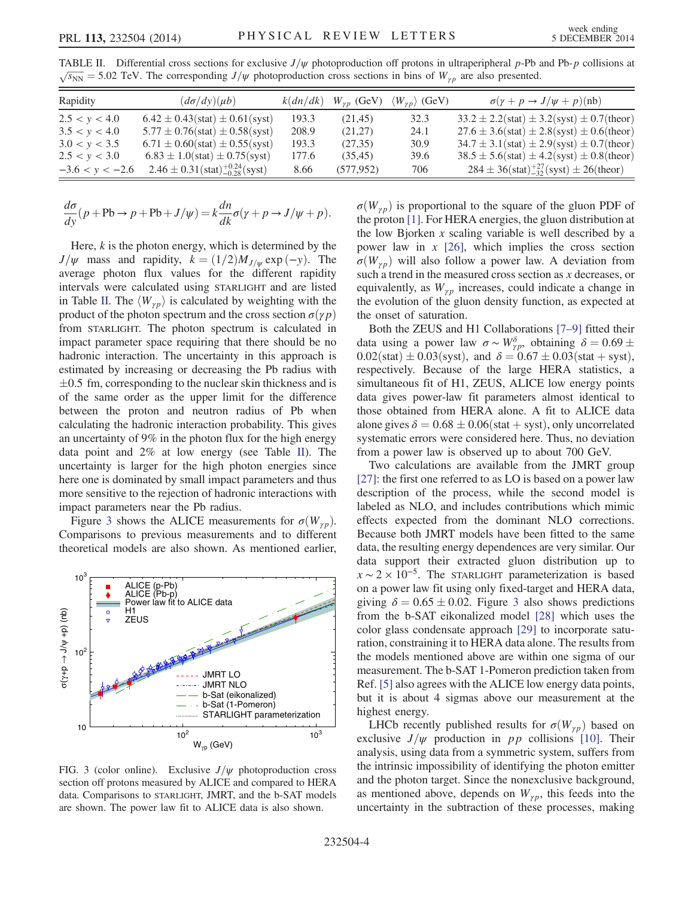| Rapidity          | $(d\sigma/dy)(\mu b)$                       |       | $k(dn/dk)$ $W_{\gamma p}$ (GeV) | $\langle W_{\gamma p} \rangle$ (GeV) | $\sigma(\gamma + p \rightarrow J/\psi + p)(\text{nb})$   |
|-------------------|---------------------------------------------|-------|---------------------------------|--------------------------------------|----------------------------------------------------------|
| 2.5 < y < 4.0     | $6.42 \pm 0.43(stat) \pm 0.61(syst)$        | 193.3 | (21, 45)                        | 32.3                                 | $33.2 \pm 2.2$ (stat) $\pm 3.2$ (syst) $\pm 0.7$ (theor) |
| 3.5 < y < 4.0     | $5.77 \pm 0.76$ (stat) $\pm 0.58$ (syst)    | 208.9 | (21,27)                         | 24.1                                 | $27.6 \pm 3.6$ (stat) $\pm 2.8$ (syst) $\pm 0.6$ (theor) |
| 3.0 < y < 3.5     | $6.71 \pm 0.60(stat) \pm 0.55(syst)$        | 193.3 | (27,35)                         | 30.9                                 | $34.7 \pm 3.1$ (stat) $\pm 2.9$ (syst) $\pm 0.7$ (theor) |
| 2.5 < v < 3.0     | $6.83 \pm 1.0(stat) \pm 0.75(syst)$         | 177.6 | (35, 45)                        | 39.6                                 | $38.5 \pm 5.6$ (stat) $\pm 4.2$ (syst) $\pm 0.8$ (theor) |
| $-3.6 < y < -2.6$ | $2.46 \pm 0.31(stat)_{-0.28}^{+0.24}(syst)$ | 8.66  | (577, 952)                      | 706                                  | $284 \pm 36(stat)_{-32}^{+27(syst)} \pm 26(theor)$       |

<span id="page-3-0"></span>TABLE II. Differential cross sections for exclusive  $J/\psi$  photoproduction off protons in ultraperipheral p-Pb and Pb-p collisions at  $\sqrt{s_{NN}}$  = 5.02 TeV. The corresponding  $J/\psi$  photoproduction cross sections in bins of  $W_{\gamma p}$  are also presented.

$$
\frac{d\sigma}{dy}(p+\text{Pb} \rightarrow p+\text{Pb}+J/\psi)=k\frac{dn}{dk}\sigma(\gamma+p \rightarrow J/\psi+p).
$$

Here,  $k$  is the photon energy, which is determined by the  $J/\psi$  mass and rapidity,  $k = (1/2)M_{J/\psi} \exp(-y)$ . The average photon flux values for the different rapidity intervals were calculated using STARLIGHT and are listed in Table [II.](#page-3-0) The  $\langle W_{\gamma p} \rangle$  is calculated by weighting with the product of the photon spectrum and the cross section  $\sigma(\gamma p)$ from STARLIGHT. The photon spectrum is calculated in impact parameter space requiring that there should be no hadronic interaction. The uncertainty in this approach is estimated by increasing or decreasing the Pb radius with  $\pm 0.5$  fm, corresponding to the nuclear skin thickness and is of the same order as the upper limit for the difference between the proton and neutron radius of Pb when calculating the hadronic interaction probability. This gives an uncertainty of 9% in the photon flux for the high energy data point and 2% at low energy (see Table [II](#page-3-0)). The uncertainty is larger for the high photon energies since here one is dominated by small impact parameters and thus more sensitive to the rejection of hadronic interactions with impact parameters near the Pb radius.

Figure [3](#page-3-1) shows the ALICE measurements for  $\sigma(W_{\gamma p})$ . Comparisons to previous measurements and to different theoretical models are also shown. As mentioned earlier,

<span id="page-3-1"></span>

FIG. 3 (color online). Exclusive  $J/\psi$  photoproduction cross section off protons measured by ALICE and compared to HERA data. Comparisons to STARLIGHT, JMRT, and the b-SAT models are shown. The power law fit to ALICE data is also shown.

 $\sigma(W_{\gamma p})$  is proportional to the square of the gluon PDF of the proton [\[1\]](#page-4-0). For HERA energies, the gluon distribution at the low Bjorken  $x$  scaling variable is well described by a power law in  $x$  [\[26\]](#page-5-15), which implies the cross section  $\sigma(W_{\gamma p})$  will also follow a power law. A deviation from such a trend in the measured cross section as  $x$  decreases, or equivalently, as  $W_{\gamma p}$  increases, could indicate a change in the evolution of the gluon density function, as expected at the onset of saturation.

Both the ZEUS and H1 Collaborations [\[7](#page-5-0)–9] fitted their data using a power law  $\sigma \sim W_{\gamma p}^{\delta}$ , obtaining  $\delta = 0.69 \pm$  $0.02(stat) \pm 0.03(syst)$ , and  $\delta = 0.67 \pm 0.03(stat + syst)$ , respectively. Because of the large HERA statistics, a simultaneous fit of H1, ZEUS, ALICE low energy points data gives power-law fit parameters almost identical to those obtained from HERA alone. A fit to ALICE data alone gives  $\delta = 0.68 \pm 0.06$  (stat + syst), only uncorrelated systematic errors were considered here. Thus, no deviation from a power law is observed up to about 700 GeV.

Two calculations are available from the JMRT group [\[27\]](#page-5-16): the first one referred to as LO is based on a power law description of the process, while the second model is labeled as NLO, and includes contributions which mimic effects expected from the dominant NLO corrections. Because both JMRT models have been fitted to the same data, the resulting energy dependences are very similar. Our data support their extracted gluon distribution up to  $x \sim 2 \times 10^{-5}$ . The STARLIGHT parameterization is based on a power law fit using only fixed-target and HERA data, giving  $\delta = 0.65 \pm 0.02$ . Figure [3](#page-3-1) also shows predictions from the b-SAT eikonalized model [\[28\]](#page-5-17) which uses the color glass condensate approach [\[29\]](#page-5-18) to incorporate saturation, constraining it to HERA data alone. The results from the models mentioned above are within one sigma of our measurement. The b-SAT 1-Pomeron prediction taken from Ref. [\[5\]](#page-4-3) also agrees with the ALICE low energy data points, but it is about 4 sigmas above our measurement at the highest energy.

LHCb recently published results for  $\sigma(W_{\gamma p})$  based on exclusive  $J/\psi$  production in pp collisions [\[10\]](#page-5-1). Their analysis, using data from a symmetric system, suffers from the intrinsic impossibility of identifying the photon emitter and the photon target. Since the nonexclusive background, as mentioned above, depends on  $W_{\gamma p}$ , this feeds into the uncertainty in the subtraction of these processes, making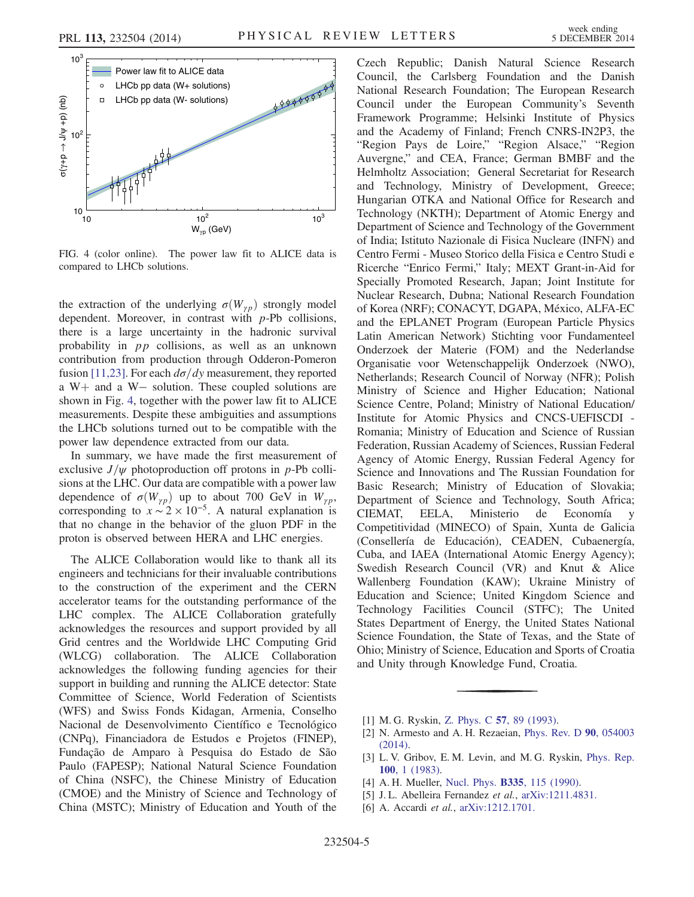<span id="page-4-4"></span>

FIG. 4 (color online). The power law fit to ALICE data is compared to LHCb solutions.

the extraction of the underlying  $\sigma(W_{\gamma p})$  strongly model dependent. Moreover, in contrast with p-Pb collisions, there is a large uncertainty in the hadronic survival probability in pp collisions, as well as an unknown contribution from production through Odderon-Pomeron fusion [\[11,23\].](#page-5-2) For each  $d\sigma/dy$  measurement, they reported a W+ and a W− solution. These coupled solutions are shown in Fig. [4,](#page-4-4) together with the power law fit to ALICE measurements. Despite these ambiguities and assumptions the LHCb solutions turned out to be compatible with the power law dependence extracted from our data.

In summary, we have made the first measurement of exclusive  $J/\psi$  photoproduction off protons in p-Pb collisions at the LHC. Our data are compatible with a power law dependence of  $\sigma(W_{\gamma p})$  up to about 700 GeV in  $W_{\gamma p}$ , corresponding to  $x \sim 2 \times 10^{-5}$ . A natural explanation is that no change in the behavior of the gluon PDF in the proton is observed between HERA and LHC energies.

The ALICE Collaboration would like to thank all its engineers and technicians for their invaluable contributions to the construction of the experiment and the CERN accelerator teams for the outstanding performance of the LHC complex. The ALICE Collaboration gratefully acknowledges the resources and support provided by all Grid centres and the Worldwide LHC Computing Grid (WLCG) collaboration. The ALICE Collaboration acknowledges the following funding agencies for their support in building and running the ALICE detector: State Committee of Science, World Federation of Scientists (WFS) and Swiss Fonds Kidagan, Armenia, Conselho Nacional de Desenvolvimento Científico e Tecnológico (CNPq), Financiadora de Estudos e Projetos (FINEP), Fundação de Amparo à Pesquisa do Estado de São Paulo (FAPESP); National Natural Science Foundation of China (NSFC), the Chinese Ministry of Education (CMOE) and the Ministry of Science and Technology of China (MSTC); Ministry of Education and Youth of the Czech Republic; Danish Natural Science Research Council, the Carlsberg Foundation and the Danish National Research Foundation; The European Research Council under the European Community's Seventh Framework Programme; Helsinki Institute of Physics and the Academy of Finland; French CNRS-IN2P3, the "Region Pays de Loire," "Region Alsace," "Region Auvergne," and CEA, France; German BMBF and the Helmholtz Association; General Secretariat for Research and Technology, Ministry of Development, Greece; Hungarian OTKA and National Office for Research and Technology (NKTH); Department of Atomic Energy and Department of Science and Technology of the Government of India; Istituto Nazionale di Fisica Nucleare (INFN) and Centro Fermi - Museo Storico della Fisica e Centro Studi e Ricerche "Enrico Fermi," Italy; MEXT Grant-in-Aid for Specially Promoted Research, Japan; Joint Institute for Nuclear Research, Dubna; National Research Foundation of Korea (NRF); CONACYT, DGAPA, México, ALFA-EC and the EPLANET Program (European Particle Physics Latin American Network) Stichting voor Fundamenteel Onderzoek der Materie (FOM) and the Nederlandse Organisatie voor Wetenschappelijk Onderzoek (NWO), Netherlands; Research Council of Norway (NFR); Polish Ministry of Science and Higher Education; National Science Centre, Poland; Ministry of National Education/ Institute for Atomic Physics and CNCS-UEFISCDI - Romania; Ministry of Education and Science of Russian Federation, Russian Academy of Sciences, Russian Federal Agency of Atomic Energy, Russian Federal Agency for Science and Innovations and The Russian Foundation for Basic Research; Ministry of Education of Slovakia; Department of Science and Technology, South Africa; CIEMAT, EELA, Ministerio de Economía y Competitividad (MINECO) of Spain, Xunta de Galicia (Consellería de Educación), CEADEN, Cubaenergía, Cuba, and IAEA (International Atomic Energy Agency); Swedish Research Council (VR) and Knut & Alice Wallenberg Foundation (KAW); Ukraine Ministry of Education and Science; United Kingdom Science and Technology Facilities Council (STFC); The United States Department of Energy, the United States National Science Foundation, the State of Texas, and the State of Ohio; Ministry of Science, Education and Sports of Croatia and Unity through Knowledge Fund, Croatia.

- <span id="page-4-1"></span><span id="page-4-0"></span>[1] M. G. Ryskin, Z. Phys. C **57**[, 89 \(1993\).](http://dx.doi.org/10.1007/BF01555742)
- <span id="page-4-2"></span>[2] N. Armesto and A. H. Rezaeian, [Phys. Rev. D](http://dx.doi.org/10.1103/PhysRevD.90.054003) 90, 054003 [\(2014\).](http://dx.doi.org/10.1103/PhysRevD.90.054003)
- [3] L. V. Gribov, E. M. Levin, and M. G. Ryskin, [Phys. Rep.](http://dx.doi.org/10.1016/0370-1573(83)90022-4) 100[, 1 \(1983\).](http://dx.doi.org/10.1016/0370-1573(83)90022-4)
- <span id="page-4-3"></span>[4] A. H. Mueller, Nucl. Phys. **B335**[, 115 \(1990\).](http://dx.doi.org/10.1016/0550-3213(90)90173-B)
- [5] J.L. Abelleira Fernandez et al., [arXiv:1211.4831.](http://arXiv.org/abs/1211.4831)
- [6] A. Accardi *et al.*, [arXiv:1212.1701.](http://arXiv.org/abs/1212.1701)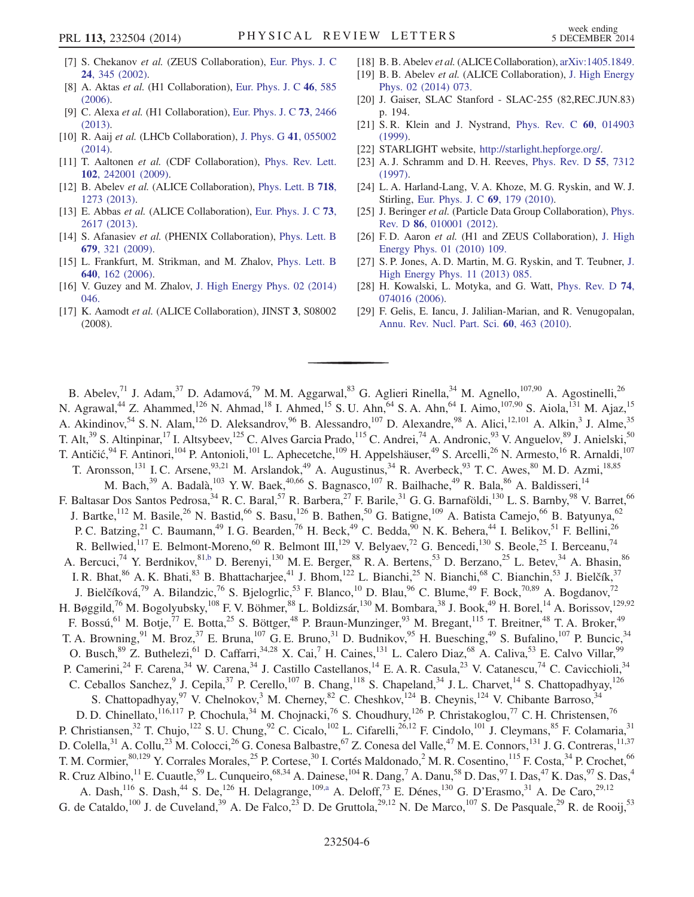- <span id="page-5-0"></span>[7] S. Chekanov et al. (ZEUS Collaboration), [Eur. Phys. J. C](http://dx.doi.org/10.1007/s10052-002-0953-7) 24[, 345 \(2002\).](http://dx.doi.org/10.1007/s10052-002-0953-7)
- [8] A. Aktas et al. (H1 Collaboration), [Eur. Phys. J. C](http://dx.doi.org/10.1140/epjc/s2006-02519-5) 46, 585 [\(2006\).](http://dx.doi.org/10.1140/epjc/s2006-02519-5)
- <span id="page-5-8"></span>[9] C. Alexa et al. (H1 Collaboration), [Eur. Phys. J. C](http://dx.doi.org/10.1140/epjc/s10052-013-2466-y) 73, 2466 [\(2013\).](http://dx.doi.org/10.1140/epjc/s10052-013-2466-y)
- <span id="page-5-1"></span>[10] R. Aaij et al. (LHCb Collaboration), [J. Phys. G](http://dx.doi.org/10.1088/0954-3899/41/5/055002) 41, 055002 [\(2014\).](http://dx.doi.org/10.1088/0954-3899/41/5/055002)
- <span id="page-5-2"></span>[11] T. Aaltonen et al. (CDF Collaboration), [Phys. Rev. Lett.](http://dx.doi.org/10.1103/PhysRevLett.102.242001) 102[, 242001 \(2009\).](http://dx.doi.org/10.1103/PhysRevLett.102.242001)
- <span id="page-5-3"></span>[12] B. Abelev et al. (ALICE Collaboration), [Phys. Lett. B](http://dx.doi.org/10.1016/j.physletb.2012.11.059) 718, [1273 \(2013\)](http://dx.doi.org/10.1016/j.physletb.2012.11.059).
- <span id="page-5-10"></span>[13] E. Abbas et al. (ALICE Collaboration), [Eur. Phys. J. C](http://dx.doi.org/10.1140/epjc/s10052-013-2617-1) 73, [2617 \(2013\)](http://dx.doi.org/10.1140/epjc/s10052-013-2617-1).
- [14] S. Afanasiev et al. (PHENIX Collaboration), [Phys. Lett. B](http://dx.doi.org/10.1016/j.physletb.2009.07.061) 679[, 321 \(2009\)](http://dx.doi.org/10.1016/j.physletb.2009.07.061).
- <span id="page-5-4"></span>[15] L. Frankfurt, M. Strikman, and M. Zhalov, [Phys. Lett. B](http://dx.doi.org/10.1016/j.physletb.2006.07.059) 640[, 162 \(2006\)](http://dx.doi.org/10.1016/j.physletb.2006.07.059).
- <span id="page-5-9"></span>[16] V. Guzey and M. Zhalov, [J. High Energy Phys. 02 \(2014\)](http://dx.doi.org/10.1007/JHEP02(2014)046) [046.](http://dx.doi.org/10.1007/JHEP02(2014)046)
- <span id="page-5-5"></span>[17] K. Aamodt et al. (ALICE Collaboration), JINST 3, S08002 (2008).
- <span id="page-5-6"></span>[18] B. B. Abelev et al. (ALICE Collaboration), [arXiv:1405.1849.](http://arXiv.org/abs/1405.1849)
- <span id="page-5-13"></span>[19] B. B. Abelev et al. (ALICE Collaboration), [J. High Energy](http://dx.doi.org/10.1007/JHEP02(2014)073) [Phys. 02 \(2014\) 073.](http://dx.doi.org/10.1007/JHEP02(2014)073)
- <span id="page-5-7"></span>[20] J. Gaiser, SLAC Stanford - SLAC-255 (82,REC.JUN.83) p. 194.
- <span id="page-5-11"></span>[21] S. R. Klein and J. Nystrand, [Phys. Rev. C](http://dx.doi.org/10.1103/PhysRevC.60.014903) 60, 014903 [\(1999\).](http://dx.doi.org/10.1103/PhysRevC.60.014903)
- [22] STARLIGHT website, [http://starlight.hepforge.org/.](http://starlight.hepforge.org/)
- <span id="page-5-12"></span>[23] A. J. Schramm and D. H. Reeves, [Phys. Rev. D](http://dx.doi.org/10.1103/PhysRevD.55.7312) 55, 7312 [\(1997\).](http://dx.doi.org/10.1103/PhysRevD.55.7312)
- [24] L. A. Harland-Lang, V. A. Khoze, M. G. Ryskin, and W. J. Stirling, [Eur. Phys. J. C](http://dx.doi.org/10.1140/epjc/s10052-010-1404-5) 69, 179 (2010).
- <span id="page-5-14"></span>[25] J. Beringer et al. (Particle Data Group Collaboration), [Phys.](http://dx.doi.org/10.1103/PhysRevD.86.010001) Rev. D 86[, 010001 \(2012\)](http://dx.doi.org/10.1103/PhysRevD.86.010001).
- <span id="page-5-15"></span>[26] F.D. Aaron et al. (H1 and ZEUS Collaboration), [J. High](http://dx.doi.org/10.1007/JHEP01(2010)109) [Energy Phys. 01 \(2010\) 109.](http://dx.doi.org/10.1007/JHEP01(2010)109)
- <span id="page-5-16"></span>[27] S. P. Jones, A. D. Martin, M. G. Ryskin, and T. Teubner, [J.](http://dx.doi.org/10.1007/JHEP11(2013)085) [High Energy Phys. 11 \(2013\) 085.](http://dx.doi.org/10.1007/JHEP11(2013)085)
- <span id="page-5-17"></span>[28] H. Kowalski, L. Motyka, and G. Watt, [Phys. Rev. D](http://dx.doi.org/10.1103/PhysRevD.74.074016) 74, [074016 \(2006\).](http://dx.doi.org/10.1103/PhysRevD.74.074016)
- <span id="page-5-18"></span>[29] F. Gelis, E. Iancu, J. Jalilian-Marian, and R. Venugopalan, [Annu. Rev. Nucl. Part. Sci.](http://dx.doi.org/10.1146/annurev.nucl.010909.083629) 60, 463 (2010).

<span id="page-5-20"></span><span id="page-5-19"></span>B. Abelev,<sup>71</sup> J. Adam,<sup>37</sup> D. Adamová,<sup>79</sup> M. M. Aggarwal,<sup>83</sup> G. Aglieri Rinella,<sup>34</sup> M. Agnello,<sup>107,90</sup> A. Agostinelli,<sup>26</sup> N. Agrawal,<sup>44</sup> Z. Ahammed,<sup>126</sup> N. Ahmad,<sup>18</sup> I. Ahmed,<sup>15</sup> S. U. Ahn,<sup>64</sup> S. A. Ahn,<sup>64</sup> I. Aimo,<sup>107,90</sup> S. Aiola,<sup>131</sup> M. Ajaz,<sup>15</sup> A. Akindinov,<sup>54</sup> S. N. Alam,<sup>126</sup> D. Aleksandrov,<sup>96</sup> B. Alessandro,<sup>107</sup> D. Alexandre,<sup>98</sup> A. Alici,<sup>12,101</sup> A. Alkin,<sup>3</sup> J. Alme,<sup>35</sup> T. Alt,<sup>39</sup> S. Altinpinar,<sup>17</sup> I. Altsybeev,<sup>125</sup> C. Alves Garcia Prado,<sup>115</sup> C. Andrei,<sup>74</sup> A. Andronic,<sup>93</sup> V. Anguelov,<sup>89</sup> J. Anielski,<sup>50</sup> T. Antičić,<sup>94</sup> F. Antinori,<sup>104</sup> P. Antonioli,<sup>101</sup> L. Aphecetche,<sup>109</sup> H. Appelshäuser,<sup>49</sup> S. Arcelli,<sup>26</sup> N. Armesto,<sup>16</sup> R. Arnaldi,<sup>107</sup> T. Aronsson,<sup>131</sup> I. C. Arsene,<sup>93,21</sup> M. Arslandok,<sup>49</sup> A. Augustinus,<sup>34</sup> R. Averbeck,<sup>93</sup> T. C. Awes,<sup>80</sup> M. D. Azmi,<sup>18,85</sup> M. Bach,<sup>39</sup> A. Badalà,<sup>103</sup> Y. W. Baek,<sup>40,66</sup> S. Bagnasco,<sup>107</sup> R. Bailhache,<sup>49</sup> R. Bala,<sup>86</sup> A. Baldisseri,<sup>14</sup> F. Baltasar Dos Santos Pedrosa,<sup>34</sup> R. C. Baral,<sup>57</sup> R. Barbera,<sup>27</sup> F. Barile,<sup>31</sup> G. G. Barnaföldi,<sup>130</sup> L. S. Barnby,<sup>98</sup> V. Barret,<sup>66</sup> J. Bartke,<sup>112</sup> M. Basile,<sup>26</sup> N. Bastid,<sup>66</sup> S. Basu,<sup>126</sup> B. Bathen,<sup>50</sup> G. Batigne,<sup>109</sup> A. Batista Camejo,<sup>66</sup> B. Batyunya,<sup>62</sup> P. C. Batzing,<sup>21</sup> C. Baumann,<sup>49</sup> I. G. Bearden,<sup>76</sup> H. Beck,<sup>49</sup> C. Bedda,<sup>90</sup> N. K. Behera,<sup>44</sup> I. Belikov,<sup>51</sup> F. Bellini,<sup>26</sup> R. Bellwied,<sup>117</sup> E. Belmont-Moreno,<sup>60</sup> R. Belmont III,<sup>129</sup> V. Belyaev,<sup>72</sup> G. Bencedi,<sup>130</sup> S. Beole,<sup>25</sup> I. Berceanu,<sup>74</sup> A. Bercuci,<sup>74</sup> Y. Berdnikov,<sup>8[1,b](#page-10-0)</sup> D. Berenyi,<sup>130</sup> M. E. Berger,<sup>88</sup> R. A. Bertens,<sup>53</sup> D. Berzano,<sup>25</sup> L. Betev,<sup>34</sup> A. Bhasin,<sup>86</sup> I. R. Bhat,<sup>86</sup> A. K. Bhati,<sup>83</sup> B. Bhattacharjee,<sup>41</sup> J. Bhom,<sup>122</sup> L. Bianchi,<sup>25</sup> N. Bianchi,<sup>68</sup> C. Bianchin,<sup>53</sup> J. Bielčík,<sup>37</sup> J. Bielčíková,<sup>79</sup> A. Bilandzic,<sup>76</sup> S. Bjelogrlic,<sup>53</sup> F. Blanco,<sup>10</sup> D. Blau,<sup>96</sup> C. Blume,<sup>49</sup> F. Bock,<sup>70,89</sup> A. Bogdanov,<sup>72</sup> H. Bøggild,<sup>76</sup> M. Bogolyubsky,<sup>108</sup> F. V. Böhmer,<sup>88</sup> L. Boldizsár,<sup>130</sup> M. Bombara,<sup>38</sup> J. Book,<sup>49</sup> H. Borel,<sup>14</sup> A. Borissov,<sup>129,92</sup> F. Bossú,<sup>61</sup> M. Botje,<sup>77</sup> E. Botta,<sup>25</sup> S. Böttger,<sup>48</sup> P. Braun-Munzinger,<sup>93</sup> M. Bregant,<sup>115</sup> T. Breitner,<sup>48</sup> T. A. Broker,<sup>49</sup> T. A. Browning, <sup>91</sup> M. Broz,<sup>37</sup> E. Bruna,<sup>107</sup> G. E. Bruno,<sup>31</sup> D. Budnikov, <sup>95</sup> H. Buesching, <sup>49</sup> S. Bufalino,<sup>107</sup> P. Buncic,<sup>34</sup> O. Busch,  $89$  Z. Buthelezi,  $61$  D. Caffarri,  $34.28$  X. Cai,  $7$  H. Caines,  $131$  L. Calero Diaz,  $68$  A. Caliva,  $53$  E. Calvo Villar,  $99$ P. Camerini,<sup>24</sup> F. Carena,<sup>34</sup> W. Carena,<sup>34</sup> J. Castillo Castellanos,<sup>14</sup> E. A. R. Casula,<sup>23</sup> V. Catanescu,<sup>74</sup> C. Cavicchioli,<sup>34</sup> C. Ceballos Sanchez, <sup>9</sup> J. Cepila,<sup>37</sup> P. Cerello,<sup>107</sup> B. Chang,<sup>118</sup> S. Chapeland,<sup>34</sup> J. L. Charvet,<sup>14</sup> S. Chattopadhyay,<sup>126</sup> S. Chattopadhyay,<sup>97</sup> V. Chelnokov,<sup>3</sup> M. Cherney,<sup>82</sup> C. Cheshkov,<sup>124</sup> B. Cheynis,<sup>124</sup> V. Chibante Barroso,<sup>34</sup> D. D. Chinellato,  $^{116,117}$  P. Chochula,  $^{34}$  M. Chojnacki,  $^{76}$  S. Choudhury,  $^{126}$  P. Christakoglou,  $^{77}$  C. H. Christensen,  $^{76}$ P. Christiansen,<sup>32</sup> T. Chujo,<sup>122</sup> S. U. Chung,<sup>92</sup> C. Cicalo,<sup>102</sup> L. Cifarelli,<sup>26,12</sup> F. Cindolo,<sup>101</sup> J. Cleymans,<sup>85</sup> F. Colamaria,<sup>31</sup> D. Colella,<sup>31</sup> A. Collu,<sup>23</sup> M. Colocci,<sup>26</sup> G. Conesa Balbastre,<sup>67</sup> Z. Conesa del Valle,<sup>47</sup> M. E. Connors,<sup>131</sup> J. G. Contreras,<sup>11,37</sup> T. M. Cormier,  $80,129$  Y. Corrales Morales,  $25$  P. Cortese,  $30$  I. Cortés Maldonado,  $2$  M. R. Cosentino,  $115$  F. Costa,  $34$  P. Crochet,  $66$ R. Cruz Albino,  $^{11}$  E. Cuautle,  $^{59}$  L. Cunqueiro,  $^{68,34}$  A. Dainese,  $^{104}$  R. Dang,  $^{7}$  A. Danu,  $^{58}$  D. Das,  $^{97}$  I. Das,  $^{47}$  K. Das,  $^{97}$  S. Das,  $^{4}$ A. Dash,<sup>116</sup> S. Dash,<sup>44</sup> S. De,<sup>126</sup> H. Delagrange,<sup>10[9,a](#page-10-1)</sup> A. Deloff,<sup>73</sup> E. Dénes,<sup>130</sup> G. D'Erasmo,<sup>31</sup> A. De Caro,<sup>29,12</sup> G. de Cataldo,<sup>100</sup> J. de Cuveland,<sup>39</sup> A. De Falco,<sup>23</sup> D. De Gruttola,<sup>29,12</sup> N. De Marco,<sup>107</sup> S. De Pasquale,<sup>29</sup> R. de Rooij,<sup>53</sup>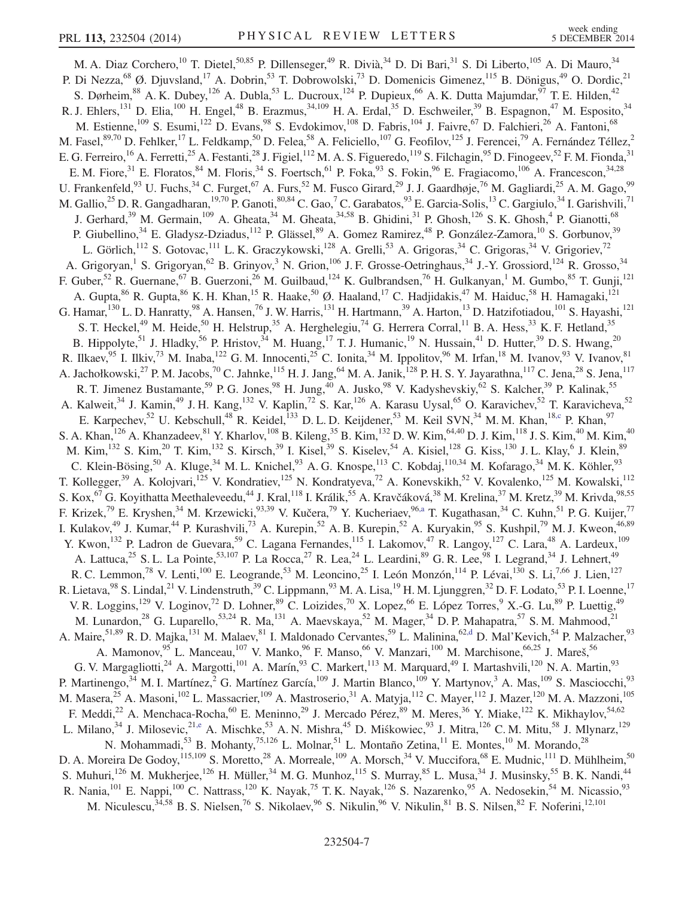<span id="page-6-2"></span><span id="page-6-1"></span><span id="page-6-0"></span>M. A. Diaz Corchero,<sup>10</sup> T. Dietel,<sup>50,85</sup> P. Dillenseger,<sup>49</sup> R. Divià,<sup>34</sup> D. Di Bari,<sup>31</sup> S. Di Liberto,<sup>105</sup> A. Di Mauro,<sup>34</sup> P. Di Nezza,<sup>68</sup> Ø. Djuvsland,<sup>17</sup> A. Dobrin,<sup>53</sup> T. Dobrowolski,<sup>73</sup> D. Domenicis Gimenez,<sup>115</sup> B. Dönigus,<sup>49</sup> O. Dordic,<sup>21</sup> S. Dørheim, <sup>88</sup> A. K. Dubey, <sup>126</sup> A. Dubla, <sup>53</sup> L. Ducroux, <sup>124</sup> P. Dupieux, <sup>66</sup> A. K. Dutta Majumdar, <sup>97</sup> T. E. Hilden, <sup>42</sup> R. J. Ehlers,<sup>131</sup> D. Elia,<sup>100</sup> H. Engel,<sup>48</sup> B. Erazmus,<sup>34,109</sup> H. A. Erdal,<sup>35</sup> D. Eschweiler,<sup>39</sup> B. Espagnon,<sup>47</sup> M. Esposito,<sup>34</sup> M. Estienne,<sup>109</sup> S. Esumi,<sup>122</sup> D. Evans,<sup>98</sup> S. Evdokimov,<sup>108</sup> D. Fabris,<sup>104</sup> J. Faivre,<sup>67</sup> D. Falchieri,<sup>26</sup> A. Fantoni,<sup>68</sup> M. Fasel, $^{89,70}$  D. Fehlker, $^{17}$  L. Feldkamp, $^{50}$  D. Felea, $^{58}$  A. Feliciello, $^{107}$  G. Feofilov, $^{125}$  J. Ferencei, $^{79}$  A. Fernández Téllez, $^{2}$ E. G. Ferreiro, <sup>16</sup> A. Ferretti, <sup>25</sup> A. Festanti, <sup>28</sup> J. Figiel, <sup>112</sup> M. A. S. Figueredo, <sup>119</sup> S. Filchagin, <sup>95</sup> D. Finogeev, <sup>52</sup> F. M. Fionda, <sup>31</sup> E. M. Fiore,  $31$  E. Floratos,  $84$  M. Floris,  $34$  S. Foertsch,  $61$  P. Foka,  $93$  S. Fokin,  $96$  E. Fragiacomo,  $106$  A. Francescon,  $34,28$ U. Frankenfeld,  $93$  U. Fuchs,  $34$  C. Furget,  $67$  A. Furs,  $52$  M. Fusco Girard,  $29$  J. J. Gaardhøje,  $76$  M. Gagliardi,  $25$  A. M. Gago,  $99$ M. Gallio,<sup>25</sup> D. R. Gangadharan,<sup>19,70</sup> P. Ganoti,<sup>80,84</sup> C. Gao,<sup>7</sup> C. Garabatos,<sup>93</sup> E. Garcia-Solis,<sup>13</sup> C. Gargiulo,<sup>34</sup> I. Garishvili,<sup>71</sup> J. Gerhard,<sup>39</sup> M. Germain,<sup>109</sup> A. Gheata,<sup>34</sup> M. Gheata,<sup>34,58</sup> B. Ghidini,<sup>31</sup> P. Ghosh,<sup>126</sup> S. K. Ghosh,<sup>4</sup> P. Gianotti,<sup>68</sup> P. Giubellino,<sup>34</sup> E. Gladysz-Dziadus,<sup>112</sup> P. Glässel,<sup>89</sup> A. Gomez Ramirez,<sup>48</sup> P. González-Zamora,<sup>10</sup> S. Gorbunov,<sup>39</sup> L. Görlich,  $^{112}$  S. Gotovac,  $^{111}$  L. K. Graczykowski,  $^{128}$  A. Grelli,  $^{53}$  A. Grigoras,  $^{34}$  C. Grigoras,  $^{34}$  V. Grigoriev,  $^{72}$ A. Grigoryan,<sup>1</sup> S. Grigoryan,<sup>62</sup> B. Grinyov,<sup>3</sup> N. Grion,<sup>106</sup> J. F. Grosse-Oetringhaus,<sup>34</sup> J.-Y. Grossiord,<sup>124</sup> R. Grosso,<sup>34</sup> F. Guber,<sup>52</sup> R. Guernane,<sup>67</sup> B. Guerzoni,<sup>26</sup> M. Guilbaud,<sup>124</sup> K. Gulbrandsen,<sup>76</sup> H. Gulkanyan,<sup>1</sup> M. Gumbo,<sup>85</sup> T. Gunji,<sup>121</sup> A. Gupta, <sup>86</sup> R. Gupta, <sup>86</sup> K. H. Khan, <sup>15</sup> R. Haake, <sup>50</sup> Ø. Haaland, <sup>17</sup> C. Hadjidakis, <sup>47</sup> M. Haiduc, <sup>58</sup> H. Hamagaki, <sup>121</sup> G. Hamar,  $^{130}$  L. D. Hanratty,  $^{98}$  A. Hansen,  $^{76}$  J. W. Harris,  $^{131}$  H. Hartmann,  $^{39}$  A. Harton,  $^{13}$  D. Hatzifotiadou,  $^{101}$  S. Hayashi,  $^{121}$ S. T. Heckel,<sup>49</sup> M. Heide,<sup>50</sup> H. Helstrup,<sup>35</sup> A. Herghelegiu,<sup>74</sup> G. Herrera Corral,<sup>11</sup> B. A. Hess,<sup>33</sup> K. F. Hetland,<sup>35</sup> B. Hippolyte,<sup>51</sup> J. Hladky,<sup>56</sup> P. Hristov,<sup>34</sup> M. Huang,<sup>17</sup> T. J. Humanic,<sup>19</sup> N. Hussain,<sup>41</sup> D. Hutter,<sup>39</sup> D. S. Hwang,<sup>20</sup> R. Ilkaev,<sup>95</sup> I. Ilkiv,<sup>73</sup> M. Inaba,<sup>122</sup> G. M. Innocenti,<sup>25</sup> C. Ionita,<sup>34</sup> M. Ippolitov,<sup>96</sup> M. Irfan,<sup>18</sup> M. Ivanov,<sup>93</sup> V. Ivanov,<sup>81</sup> A. Jachołkowski,<sup>27</sup> P. M. Jacobs,<sup>70</sup> C. Jahnke,<sup>115</sup> H. J. Jang,<sup>64</sup> M. A. Janik,<sup>128</sup> P. H. S. Y. Jayarathna,<sup>117</sup> C. Jena,<sup>28</sup> S. Jena,<sup>117</sup> R. T. Jimenez Bustamante,<sup>59</sup> P. G. Jones,<sup>98</sup> H. Jung,<sup>40</sup> A. Jusko,<sup>98</sup> V. Kadyshevskiy,<sup>62</sup> S. Kalcher,<sup>39</sup> P. Kalinak,<sup>55</sup> A. Kalweit,<sup>34</sup> J. Kamin,<sup>49</sup> J. H. Kang,<sup>132</sup> V. Kaplin,<sup>72</sup> S. Kar,<sup>126</sup> A. Karasu Uysal,<sup>65</sup> O. Karavichev,<sup>52</sup> T. Karavicheva,<sup>52</sup> E. Karpechev,<sup>52</sup> U. Kebschull,<sup>48</sup> R. Keidel,<sup>133</sup> D. L. D. Keijdener,<sup>53</sup> M. Keil SVN,<sup>34</sup> M. M. Khan,<sup>1[8,c](#page-10-2)</sup> P. Khan,<sup>97</sup> S. A. Khan,<sup>126</sup> A. Khanzadeev,<sup>81</sup> Y. Kharlov,<sup>108</sup> B. Kileng,<sup>35</sup> B. Kim,<sup>132</sup> D. W. Kim,<sup>64,40</sup> D. J. Kim,<sup>118</sup> J. S. Kim,<sup>40</sup> M. Kim,<sup>40</sup> M. Kim,<sup>132</sup> S. Kim,<sup>20</sup> T. Kim,<sup>132</sup> S. Kirsch,<sup>39</sup> I. Kisel,<sup>39</sup> S. Kiselev,<sup>54</sup> A. Kisiel,<sup>128</sup> G. Kiss,<sup>130</sup> J. L. Klay,<sup>6</sup> J. Klein,<sup>89</sup> C. Klein-Bösing,<sup>50</sup> A. Kluge,<sup>34</sup> M. L. Knichel,<sup>93</sup> A. G. Knospe,<sup>113</sup> C. Kobdaj,<sup>110,34</sup> M. Kofarago,<sup>34</sup> M. K. Köhler,<sup>93</sup> T. Kollegger,<sup>39</sup> A. Kolojvari,<sup>125</sup> V. Kondratiev,<sup>125</sup> N. Kondratyeva,<sup>72</sup> A. Konevskikh,<sup>52</sup> V. Kovalenko,<sup>125</sup> M. Kowalski,<sup>112</sup> S. Kox,<sup>67</sup> G. Koyithatta Meethaleveedu,<sup>44</sup> J. Kral,<sup>118</sup> I. Králik,<sup>55</sup> A. Kravčáková,<sup>38</sup> M. Krelina,<sup>37</sup> M. Kretz,<sup>39</sup> M. Krivda,<sup>98,55</sup> F. Krizek,<sup>79</sup> E. Kryshen,<sup>34</sup> M. Krzewicki,<sup>93,39</sup> V. Kučera,<sup>79</sup> Y. Kucheriaev,<sup>96[,a](#page-10-1)</sup> T. Kugathasan,<sup>34</sup> C. Kuhn,<sup>51</sup> P. G. Kuijer,<sup>77</sup> I. Kulakov,<sup>49</sup> J. Kumar,<sup>44</sup> P. Kurashvili,<sup>73</sup> A. Kurepin,<sup>52</sup> A. B. Kurepin,<sup>52</sup> A. Kuryakin,<sup>95</sup> S. Kushpil,<sup>79</sup> M. J. Kweon,<sup>46,89</sup> Y. Kwon,<sup>132</sup> P. Ladron de Guevara,<sup>59</sup> C. Lagana Fernandes,<sup>115</sup> I. Lakomov,<sup>47</sup> R. Langoy,<sup>127</sup> C. Lara,<sup>48</sup> A. Lardeux,<sup>109</sup> A. Lattuca,<sup>25</sup> S. L. La Pointe,<sup>53,107</sup> P. La Rocca,<sup>27</sup> R. Lea,<sup>24</sup> L. Leardini,<sup>89</sup> G. R. Lee,<sup>98</sup> I. Legrand,<sup>34</sup> J. Lehnert,<sup>49</sup> R. C. Lemmon,<sup>78</sup> V. Lenti,<sup>100</sup> E. Leogrande,<sup>53</sup> M. Leoncino,<sup>25</sup> I. León Monzón,<sup>114</sup> P. Lévai,<sup>130</sup> S. Li,<sup>7,66</sup> J. Lien,<sup>127</sup> R. Lietava, <sup>98</sup> S. Lindal, <sup>21</sup> V. Lindenstruth, <sup>39</sup> C. Lippmann, <sup>93</sup> M. A. Lisa, <sup>19</sup> H. M. Ljunggren, <sup>32</sup> D. F. Lodato, <sup>53</sup> P. I. Loenne, <sup>17</sup> V. R. Loggins,<sup>129</sup> V. Loginov,<sup>72</sup> D. Lohner,<sup>89</sup> C. Loizides,<sup>70</sup> X. Lopez,<sup>66</sup> E. López Torres,<sup>9</sup> X.-G. Lu,<sup>89</sup> P. Luettig,<sup>49</sup> M. Lunardon,<sup>28</sup> G. Luparello,<sup>53,24</sup> R. Ma,<sup>131</sup> A. Maevskaya,<sup>52</sup> M. Mager,<sup>34</sup> D. P. Mahapatra,<sup>57</sup> S. M. Mahmood,<sup>21</sup> A. Maire,<sup>51,89</sup> R. D. Majka,<sup>131</sup> M. Malaev,<sup>81</sup> I. Maldonado Cervantes,<sup>59</sup> L. Malinina,<sup>62[,d](#page-10-3)</sup> D. Mal'Kevich,<sup>54</sup> P. Malzacher,<sup>93</sup> A. Mamonov, <sup>95</sup> L. Manceau, <sup>107</sup> V. Manko, <sup>96</sup> F. Manso, <sup>66</sup> V. Manzari, <sup>100</sup> M. Marchisone, <sup>66,25</sup> J. Mareš, <sup>56</sup> G. V. Margagliotti,<sup>24</sup> A. Margotti,<sup>101</sup> A. Marín,<sup>93</sup> C. Markert,<sup>113</sup> M. Marquard,<sup>49</sup> I. Martashvili,<sup>120</sup> N. A. Martin,<sup>93</sup> P. Martinengo,<sup>34</sup> M. I. Martínez,<sup>2</sup> G. Martínez García,<sup>109</sup> J. Martin Blanco,<sup>109</sup> Y. Martynov,<sup>3</sup> A. Mas,<sup>109</sup> S. Masciocchi,<sup>93</sup> M. Masera,<sup>25</sup> A. Masoni,<sup>102</sup> L. Massacrier,<sup>109</sup> A. Mastroserio,<sup>31</sup> A. Matyja,<sup>112</sup> C. Mayer,<sup>112</sup> J. Mazer,<sup>120</sup> M. A. Mazzoni,<sup>105</sup> F. Meddi,<sup>22</sup> A. Menchaca-Rocha,<sup>60</sup> E. Meninno,<sup>29</sup> J. Mercado Pérez,<sup>89</sup> M. Meres,<sup>36</sup> Y. Miake,<sup>122</sup> K. Mikhaylov,<sup>54,62</sup> L. Milano,<sup>34</sup> J. Milosevic,<sup>2[1,e](#page-10-4)</sup> A. Mischke,<sup>53</sup> A. N. Mishra,<sup>45</sup> D. Miśkowiec,<sup>93</sup> J. Mitra,<sup>126</sup> C. M. Mitu,<sup>58</sup> J. Mlynarz,<sup>129</sup> N. Mohammadi,<sup>53</sup> B. Mohanty,<sup>75,126</sup> L. Molnar,<sup>51</sup> L. Montaño Zetina,<sup>11</sup> E. Montes,<sup>10</sup> M. Morando,<sup>28</sup> D. A. Moreira De Godoy,<sup>115,109</sup> S. Moretto,<sup>28</sup> A. Morreale,<sup>109</sup> A. Morsch,<sup>34</sup> V. Muccifora,<sup>68</sup> E. Mudnic,<sup>111</sup> D. Mühlheim,<sup>50</sup> S. Muhuri,<sup>126</sup> M. Mukherjee,<sup>126</sup> H. Müller,<sup>34</sup> M. G. Munhoz,<sup>115</sup> S. Murray,<sup>85</sup> L. Musa,<sup>34</sup> J. Musinsky,<sup>55</sup> B. K. Nandi,<sup>44</sup> R. Nania,<sup>101</sup> E. Nappi,<sup>100</sup> C. Nattrass,<sup>120</sup> K. Nayak,<sup>75</sup> T. K. Nayak,<sup>126</sup> S. Nazarenko,<sup>95</sup> A. Nedosekin,<sup>54</sup> M. Nicassio,<sup>93</sup> M. Niculescu,<sup>34,58</sup> B. S. Nielsen,<sup>76</sup> S. Nikolaev,<sup>96</sup> S. Nikulin,<sup>96</sup> V. Nikulin,<sup>81</sup> B. S. Nilsen,<sup>82</sup> F. Noferini,<sup>12,101</sup>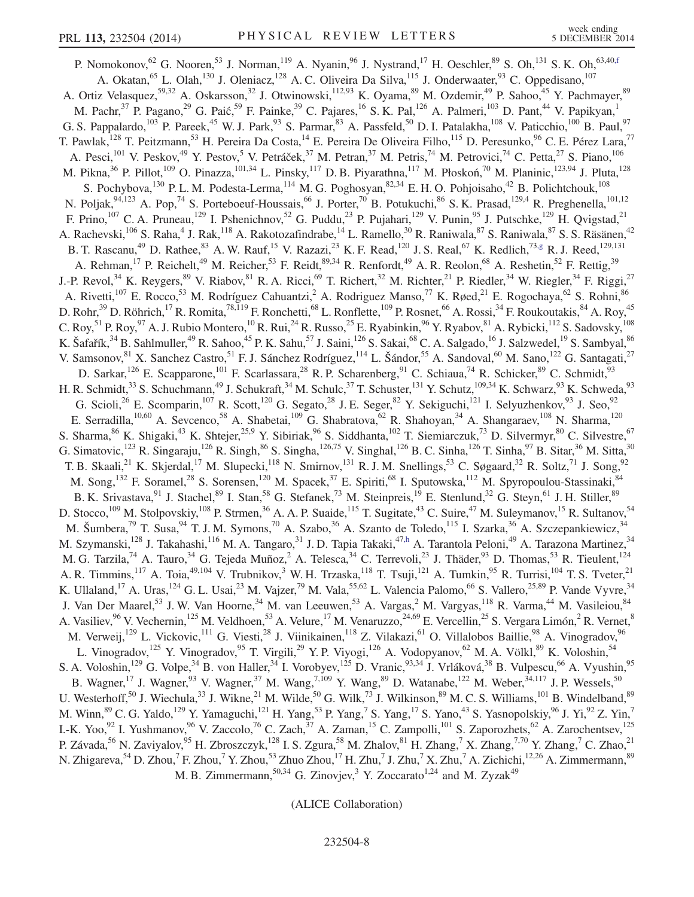<span id="page-7-1"></span><span id="page-7-0"></span>P. Nomokonov,<sup>62</sup> G. Nooren,<sup>53</sup> J. Norman,<sup>119</sup> A. Nyanin,<sup>96</sup> J. Nystrand,<sup>17</sup> H. Oeschler,<sup>89</sup> S. Oh,<sup>131</sup> S. K. Oh,<sup>63,4[0,f](#page-10-5)</sup> A. Okatan,<sup>65</sup> L. Olah,<sup>130</sup> J. Oleniacz,<sup>128</sup> A. C. Oliveira Da Silva,<sup>115</sup> J. Onderwaater,<sup>93</sup> C. Oppedisano,<sup>107</sup> A. Ortiz Velasquez,<sup>59,32</sup> A. Oskarsson,<sup>32</sup> J. Otwinowski,<sup>112,93</sup> K. Oyama,<sup>89</sup> M. Ozdemir,<sup>49</sup> P. Sahoo,<sup>45</sup> Y. Pachmayer,<sup>89</sup> M. Pachr,<sup>37</sup> P. Pagano,<sup>29</sup> G. Paić,<sup>59</sup> F. Painke,<sup>39</sup> C. Pajares,<sup>16</sup> S. K. Pal,<sup>126</sup> A. Palmeri,<sup>103</sup> D. Pant,<sup>44</sup> V. Papikyan,<sup>1</sup> G. S. Pappalardo,<sup>103</sup> P. Pareek,<sup>45</sup> W. J. Park,<sup>93</sup> S. Parmar,<sup>83</sup> A. Passfeld,<sup>50</sup> D. I. Patalakha,<sup>108</sup> V. Paticchio,<sup>100</sup> B. Paul,<sup>97</sup> T. Pawlak,<sup>128</sup> T. Peitzmann,<sup>53</sup> H. Pereira Da Costa,<sup>14</sup> E. Pereira De Oliveira Filho,<sup>115</sup> D. Peresunko,<sup>96</sup> C. E. Pérez Lara,<sup>77</sup> A. Pesci,<sup>101</sup> V. Peskov,<sup>49</sup> Y. Pestov,<sup>5</sup> V. Petráček,<sup>37</sup> M. Petran,<sup>37</sup> M. Petris,<sup>74</sup> M. Petrovici,<sup>74</sup> C. Petta,<sup>27</sup> S. Piano,<sup>106</sup> M. Pikna,<sup>36</sup> P. Pillot,<sup>109</sup> O. Pinazza,<sup>101,34</sup> L. Pinsky,<sup>117</sup> D. B. Piyarathna,<sup>117</sup> M. Płoskoń,<sup>70</sup> M. Planinic,<sup>123,94</sup> J. Pluta,<sup>128</sup> S. Pochybova,  $^{130}$  P. L. M. Podesta-Lerma,  $^{114}$  M. G. Poghosyan,  $^{82,34}$  E. H. O. Pohjoisaho,  $^{42}$  B. Polichtchouk,  $^{108}$ N. Poljak,<sup>94,123</sup> A. Pop,<sup>74</sup> S. Porteboeuf-Houssais,<sup>66</sup> J. Porter,<sup>70</sup> B. Potukuchi,<sup>86</sup> S. K. Prasad,<sup>129,4</sup> R. Preghenella,<sup>101,12</sup> F. Prino,<sup>107</sup> C. A. Pruneau,<sup>129</sup> I. Pshenichnov,<sup>52</sup> G. Puddu,<sup>23</sup> P. Pujahari,<sup>129</sup> V. Punin,<sup>95</sup> J. Putschke,<sup>129</sup> H. Qvigstad,<sup>21</sup> A. Rachevski,<sup>106</sup> S. Raha,<sup>4</sup> J. Rak,<sup>118</sup> A. Rakotozafindrabe,<sup>14</sup> L. Ramello,<sup>30</sup> R. Raniwala,<sup>87</sup> S. Raniwala,<sup>87</sup> S. S. Räsänen,<sup>42</sup> B. T. Rascanu,<sup>49</sup> D. Rathee,<sup>83</sup> A. W. Rauf,<sup>15</sup> V. Razazi,<sup>23</sup> K. F. Read,<sup>120</sup> J. S. Real,<sup>67</sup> K. Redlich,<sup>7[3,g](#page-10-6)</sup> R. J. Reed,<sup>129,131</sup> A. Rehman,<sup>17</sup> P. Reichelt,<sup>49</sup> M. Reicher,<sup>53</sup> F. Reidt,<sup>89,34</sup> R. Renfordt,<sup>49</sup> A. R. Reolon,<sup>68</sup> A. Reshetin,<sup>52</sup> F. Rettig,<sup>39</sup> J.-P. Revol,<sup>34</sup> K. Reygers,<sup>89</sup> V. Riabov,<sup>81</sup> R. A. Ricci,<sup>69</sup> T. Richert,<sup>32</sup> M. Richter,<sup>21</sup> P. Riedler,<sup>34</sup> W. Riegler,<sup>34</sup> F. Riggi,<sup>27</sup> A. Rivetti,<sup>107</sup> E. Rocco,<sup>53</sup> M. Rodríguez Cahuantzi,<sup>2</sup> A. Rodriguez Manso,<sup>77</sup> K. Røed,<sup>21</sup> E. Rogochaya,<sup>62</sup> S. Rohni,<sup>86</sup> D. Rohr,<sup>39</sup> D. Röhrich,<sup>17</sup> R. Romita,<sup>78,119</sup> F. Ronchetti,<sup>68</sup> L. Ronflette,<sup>109</sup> P. Rosnet,<sup>66</sup> A. Rossi,<sup>34</sup> F. Roukoutakis,<sup>84</sup> A. Roy,<sup>45</sup> C. Roy,<sup>51</sup> P. Roy,<sup>97</sup> A. J. Rubio Montero,<sup>10</sup> R. Rui,<sup>24</sup> R. Russo,<sup>25</sup> E. Ryabinkin,<sup>96</sup> Y. Ryabov,<sup>81</sup> A. Rybicki,<sup>112</sup> S. Sadovsky,<sup>108</sup> K. Šafařík, $3^4$  B. Sahlmuller, $4^9$  R. Sahoo, $4^5$  P. K. Sahu, $5^7$  J. Saini, $1^{26}$  S. Sakai, $6^8$  C. A. Salgado, $1^6$  J. Salzwedel, $1^9$  S. Sambyal, $8^6$ V. Samsonov, <sup>81</sup> X. Sanchez Castro, <sup>51</sup> F. J. Sánchez Rodríguez, <sup>114</sup> L. Šándor, <sup>55</sup> A. Sandoval, <sup>60</sup> M. Sano, <sup>122</sup> G. Santagati, <sup>27</sup> D. Sarkar,<sup>126</sup> E. Scapparone,<sup>101</sup> F. Scarlassara,<sup>28</sup> R. P. Scharenberg,<sup>91</sup> C. Schiaua,<sup>74</sup> R. Schicker,<sup>89</sup> C. Schmidt,<sup>93</sup> H. R. Schmidt,<sup>33</sup> S. Schuchmann,<sup>49</sup> J. Schukraft,<sup>34</sup> M. Schulc,<sup>37</sup> T. Schuster,<sup>131</sup> Y. Schutz,<sup>109,34</sup> K. Schwarz,<sup>93</sup> K. Schweda,<sup>93</sup> G. Scioli,<sup>26</sup> E. Scomparin,<sup>107</sup> R. Scott,<sup>120</sup> G. Segato,<sup>28</sup> J. E. Seger,<sup>82</sup> Y. Sekiguchi,<sup>121</sup> I. Selyuzhenkov,<sup>93</sup> J. Seo,<sup>92</sup> E. Serradilla,<sup>10,60</sup> A. Sevcenco,<sup>58</sup> A. Shabetai,<sup>109</sup> G. Shabratova,<sup>62</sup> R. Shahoyan,<sup>34</sup> A. Shangaraev,<sup>108</sup> N. Sharma,<sup>120</sup> S. Sharma, <sup>86</sup> K. Shigaki, <sup>43</sup> K. Shtejer, <sup>25,9</sup> Y. Sibiriak, <sup>96</sup> S. Siddhanta, <sup>102</sup> T. Siemiarczuk, <sup>73</sup> D. Silvermyr, <sup>80</sup> C. Silvestre, <sup>67</sup> G. Simatovic,<sup>123</sup> R. Singaraju,<sup>126</sup> R. Singh,<sup>86</sup> S. Singha,<sup>126,75</sup> V. Singhal,<sup>126</sup> B. C. Sinha,<sup>126</sup> T. Sinha,<sup>97</sup> B. Sitar,<sup>36</sup> M. Sitta,<sup>30</sup> T. B. Skaali,<sup>21</sup> K. Skjerdal,<sup>17</sup> M. Slupecki,<sup>118</sup> N. Smirnov,<sup>131</sup> R. J. M. Snellings,<sup>53</sup> C. Søgaard,<sup>32</sup> R. Soltz,<sup>71</sup> J. Song,<sup>92</sup> M. Song,<sup>132</sup> F. Soramel,<sup>28</sup> S. Sorensen,<sup>120</sup> M. Spacek,<sup>37</sup> E. Spiriti,<sup>68</sup> I. Sputowska,<sup>112</sup> M. Spyropoulou-Stassinaki,<sup>84</sup> B. K. Srivastava, <sup>91</sup> J. Stachel, <sup>89</sup> I. Stan, <sup>58</sup> G. Stefanek, <sup>73</sup> M. Steinpreis, <sup>19</sup> E. Stenlund, <sup>32</sup> G. Steyn, <sup>61</sup> J. H. Stiller, <sup>89</sup> D. Stocco,<sup>109</sup> M. Stolpovskiy,<sup>108</sup> P. Strmen,<sup>36</sup> A. A. P. Suaide,<sup>115</sup> T. Sugitate,<sup>43</sup> C. Suire,<sup>47</sup> M. Suleymanov,<sup>15</sup> R. Sultanov,<sup>54</sup> M. Šumbera,<sup>79</sup> T. Susa,<sup>94</sup> T. J. M. Symons,<sup>70</sup> A. Szabo,<sup>36</sup> A. Szanto de Toledo,<sup>115</sup> I. Szarka,<sup>36</sup> A. Szczepankiewicz,<sup>34</sup> M. Szymanski, $^{128}$  J. Takahashi, $^{116}$  M. A. Tangaro, $^{31}$  J. D. Tapia Takaki, $^{47,h}$  $^{47,h}$  $^{47,h}$  A. Tarantola Peloni, $^{49}$  A. Tarazona Martinez, $^{34}$ M. G. Tarzila,<sup>74</sup> A. Tauro,<sup>34</sup> G. Tejeda Muñoz,<sup>2</sup> A. Telesca,<sup>34</sup> C. Terrevoli,<sup>23</sup> J. Thäder,<sup>93</sup> D. Thomas,<sup>53</sup> R. Tieulent,<sup>124</sup> A. R. Timmins,<sup>117</sup> A. Toia,<sup>49,104</sup> V. Trubnikov,<sup>3</sup> W. H. Trzaska,<sup>118</sup> T. Tsuji,<sup>121</sup> A. Tumkin,<sup>95</sup> R. Turrisi,<sup>104</sup> T. S. Tveter,<sup>21</sup> K. Ullaland,<sup>17</sup> A. Uras,<sup>124</sup> G. L. Usai,<sup>23</sup> M. Vajzer,<sup>79</sup> M. Vala,<sup>55,62</sup> L. Valencia Palomo,<sup>66</sup> S. Vallero,<sup>25,89</sup> P. Vande Vyvre,<sup>34</sup> J. Van Der Maarel,<sup>53</sup> J. W. Van Hoorne,<sup>34</sup> M. van Leeuwen,<sup>53</sup> A. Vargas,<sup>2</sup> M. Vargyas,<sup>118</sup> R. Varma,<sup>44</sup> M. Vasileiou,<sup>84</sup> A. Vasiliev, <sup>96</sup> V. Vechernin, <sup>125</sup> M. Veldhoen, <sup>53</sup> A. Velure, <sup>17</sup> M. Venaruzzo, <sup>24,69</sup> E. Vercellin, <sup>25</sup> S. Vergara Limón, <sup>2</sup> R. Vernet, <sup>8</sup> M. Verweij,<sup>129</sup> L. Vickovic,<sup>111</sup> G. Viesti,<sup>28</sup> J. Viinikainen,<sup>118</sup> Z. Vilakazi,<sup>61</sup> O. Villalobos Baillie,<sup>98</sup> A. Vinogradov,<sup>96</sup> L. Vinogradov,<sup>125</sup> Y. Vinogradov,<sup>95</sup> T. Virgili,<sup>29</sup> Y. P. Viyogi,<sup>126</sup> A. Vodopyanov,<sup>62</sup> M. A. Völkl,<sup>89</sup> K. Voloshin,<sup>54</sup> S. A. Voloshin,<sup>129</sup> G. Volpe,<sup>34</sup> B. von Haller,<sup>34</sup> I. Vorobyev,<sup>125</sup> D. Vranic,<sup>93,34</sup> J. Vrláková,<sup>38</sup> B. Vulpescu,<sup>66</sup> A. Vyushin,<sup>95</sup> B. Wagner,<sup>17</sup> J. Wagner,<sup>93</sup> V. Wagner,<sup>37</sup> M. Wang,<sup>7,109</sup> Y. Wang,<sup>89</sup> D. Watanabe,<sup>122</sup> M. Weber,<sup>34,117</sup> J. P. Wessels,<sup>50</sup> U. Westerhoff,<sup>50</sup> J. Wiechula,<sup>33</sup> J. Wikne,<sup>21</sup> M. Wilde,<sup>50</sup> G. Wilk,<sup>73</sup> J. Wilkinson,<sup>89</sup> M. C. S. Williams,<sup>101</sup> B. Windelband,<sup>89</sup> M. Winn,  ${}^{89}$  C. G. Yaldo,  ${}^{129}$  Y. Yamaguchi,  ${}^{121}$  H. Yang,  ${}^{53}$  P. Yang,  ${}^{7}$  S. Yang,  ${}^{17}$  S. Yano,  ${}^{43}$  S. Yasnopolskiy,  ${}^{96}$  J. Yi,  ${}^{92}$  Z. Yin,  ${}^{7}$ I.-K. Yoo,<sup>92</sup> I. Yushmanov,<sup>96</sup> V. Zaccolo,<sup>76</sup> C. Zach,<sup>37</sup> A. Zaman,<sup>15</sup> C. Zampolli,<sup>101</sup> S. Zaporozhets,<sup>62</sup> A. Zarochentsev,<sup>125</sup> P. Závada,<sup>56</sup> N. Zaviyalov,<sup>95</sup> H. Zbroszczyk,<sup>128</sup> I. S. Zgura,<sup>58</sup> M. Zhalov,<sup>81</sup> H. Zhang,<sup>7</sup> X. Zhang,<sup>7,70</sup> Y. Zhang,<sup>7</sup> C. Zhao,<sup>21</sup> N. Zhigareva, $^{54}$  D. Zhou, $^7$  F. Zhou, $^7$  Y. Zhou, $^{53}$  Zhuo Zhou, $^{17}$  H. Zhu, $^7$  J. Zhu, $^7$  X. Zhu, $^7$  A. Zichichi, $^{12,26}$  A. Zimmermann, $^{89}$ M. B. Zimmermann,<sup>50,34</sup> G. Zinovjev,<sup>3</sup> Y. Zoccarato<sup>1,24</sup> and M. Zyzak<sup>49</sup>

<span id="page-7-2"></span>(ALICE Collaboration)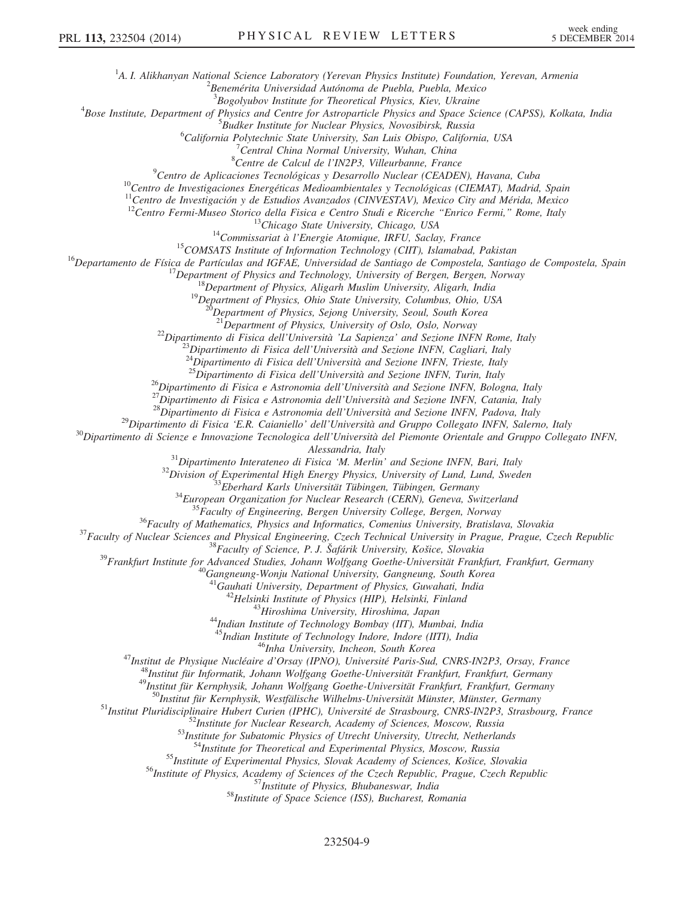<sup>1</sup>A. I. Alikhanyan National Science Laboratory (Yerevan Physics Institute) Foundation, Yerevan, Armenia<br><sup>2</sup> Panamérita Universidad Autónoma de Puebla, Puebla Mariae

 $2$ Benemérita Universidad Autónoma de Puebla, Puebla, Mexico

 $3$ Bogolyubov Institute for Theoretical Physics, Kiev, Ukraine  $Bogolyubov$  Institute for Theoretical Physics, Kiev, Ukraine<br> $B<sup>4</sup>Bose$  Institute, Department of Physics and Centre for Astropartials Physics and Space So

Bose Institute, Department of Physics and Centre for Astroparticle Physics and Space Science (CAPSS), Kolkata, India<br>5 Budkar Institute for Nuelear Physics, Novesibirsk, Pussia

 ${}^{5}$ Budker Institute for Nuclear Physics, Novosibirsk, Russia

<sup>6</sup>California Polytechnic State University, San Luis Obispo, California, USA

 $\sigma$ <sup>7</sup>Central China Normal University, Wuhan, China

<sup>8</sup>Centre de Calcul de l'IN2P3, Villeurbanne, France<br><sup>9</sup>Centro de Aplicaciones Tecnológicas y Desarrollo Nuclear (CEADEN), Havana, Cuba

 $10$ Centro de Investigaciones Energéticas Medioambientales y Tecnológicas (CIEMAT), Madrid, Spain

<sup>11</sup>Centro de Investigación y de Estudios Avanzados (CINVESTAV), Mexico City and Mérida, Mexico<br><sup>12</sup>Centro Fermi-Museo Storico della Fisica e Centro Studi e Ricerche "Enrico Fermi," Rome, Italy

<sup>13</sup>Chicago State University, Chicago, USA<br><sup>14</sup>Commissariat à l'Energie Atomique, IRFU, Saclay, France<br><sup>15</sup>COMSATS Institute of Information Technology (CIIT), Islamabad, Pakistan<br><sup>16</sup>Departamento de Física de Partículas a

<sup>21</sup>Department of Physics, University of Oslo, Oslo, Norway<br><sup>22</sup>Dipartimento di Fisica dell'Università 'La Sapienza' and Sezione INFN Rome, Italy<br><sup>22</sup>Dipartimento di Fisica dell'Università and Sezione INFN, Cagliari, Ital

Alessandria, Italy<br>
<sup>31</sup>Dipartimento Interateneo di Fisica 'M. Merlin' and Sezione INFN, Bari, Italy<br>
<sup>32</sup>Division of Experimental High Energy Physics, University of Lund, Lund, Sweden<br>
<sup>33</sup>Eberhard Karls Universität Tübin

<sup>40</sup>Gangneung-Wonju National University, Gangneung, South Korea<br><sup>41</sup>Gauhati University, Department of Physics, Guwahati, India<br><sup>42</sup>Helsinki Institute of Physics (HIP), Helsinki, Finland<br><sup>43</sup>Hiroshima University, Hiroshima

<sup>46</sup>Inha University, Incheon, South Korea<br><sup>47</sup>Institut de Physique Nucléaire d'Orsay (IPNO), Université Paris-Sud, CNRS-IN2P3, Orsay, France<br><sup>48</sup>Institut für Informatik, Johann Wolfgang Goethe-Universität Frankfurt, Frank

<sup>51</sup>Institut Pluridisciplinaire Hubert Curien (IPHC), Université de Strasbourg, CNRS-IN2P3, Strasbourg, France<br><sup>52</sup>Institute for Nuclear Research, Academy of Sciences, Moscow, Russia<br><sup>53</sup>Institute for Subatomic Physics of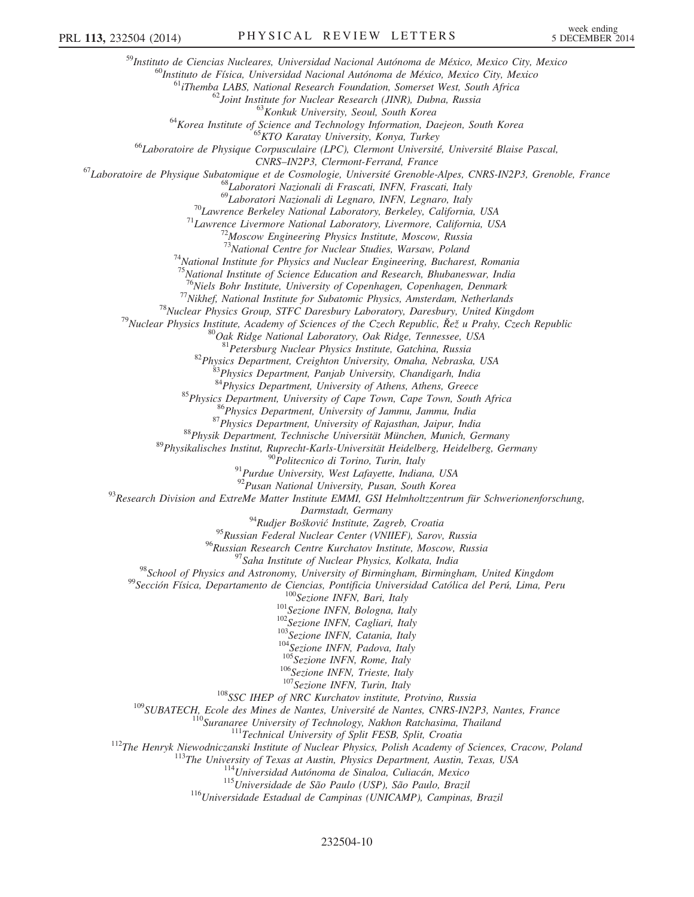<sup>59</sup>Instituto de Ciencias Nucleares, Universidad Nacional Autónoma de México, Mexico City, Mexico<br><sup>60</sup>Instituto de Física, Universidad Nacional Autónoma de México, Mexico City, Mexico<br><sup>61</sup>iThemba LABS, National Research F

CNRS–IN2P3, Clermont-Ferrand, France<br><sup>67</sup>Laboratoire de Physique Subatomique et de Cosmologie, Université Grenoble-Alpes, CNRS-IN2P3, Grenoble, France<br><sup>68</sup>Laboratori Nazionali di Frascati, INFN, Frascati, Italy<br><sup>69</sup>Labora

<sup>70</sup>Lawrence Berkeley National Laboratory, Berkeley, California, USA<br><sup>71</sup>Lawrence Livermore National Laboratory, Livermore, California, USA<br><sup>72</sup>Moscow Engineering Physics Institute, Moscow, Russia<br><sup>73</sup>National Centre for

 $74$ National Institute for Physics and Nuclear Engineering, Bucharest, Romania

<sup>75</sup>National Institute of Science Education and Research, Bhubaneswar, India<br><sup>76</sup>Niels Bohr Institute, University of Copenhagen, Copenhagen, Denmark

<sup>77</sup>Nikhef, National Institute for Subatomic Physics, Amsterdam, Netherlands<br><sup>78</sup>Nuclear Physics Group, STFC Daresbury Laboratory, Daresbury, United Kingdom<br><sup>79</sup>Nuclear Physics Institute, Academy of Sciences of the Czech

<sup>82</sup>Physics Department, Creighton University, Omaha, Nebraska, USA  $^{83}$ Physics Department, Panjab University, Chandigarh, India  $^{84}$ Physics Department, University of Athens, Athens, Greece

<sup>85</sup>Physics Department, University of Cape Town, Cape Town, South Africa<br><sup>86</sup>Physics Department, University of Jammu, Jammu, India<br><sup>87</sup>Physics Department, University of Rajasthan, Jaipur, India<br><sup>88</sup>Physik Department, Tech

 $93$ Research Division and ExtreMe Matter Institute EMMI, GSI Helmholtzzentrum für Schwerionenforschung,

Darmstadt, Germany<br><sup>94</sup>Rudjer Bošković Institute, Zagreb, Croatia

<sup>95</sup>Russian Federal Nuclear Center (VNIIEF), Sarov, Russia<br><sup>96</sup>Russian Research Centre Kurchatov Institute, Moscow, Russia

<sup>97</sup>Saha Institute of Nuclear Physics, Kolkata, India<br><sup>98</sup>School of Physics and Astronomy, University of Birmingham, Birmingham, United Kingdom<br><sup>99</sup>Sección Física, Departamento de Ciencias, Pontificia Universidad Católica

<sup>105</sup> Sezione INFN, Rome, Italy<br><sup>105</sup> Sezione INFN, Trieste, Italy<br><sup>106</sup> Sezione INFN, Trieste, Italy<br><sup>107</sup> Sezione INFN, Turin, Italy<br><sup>109</sup> SUBATECH, Ecole des Mines de Nantes, Université de Nantes, CNRS-IN2P3, Nantes, F